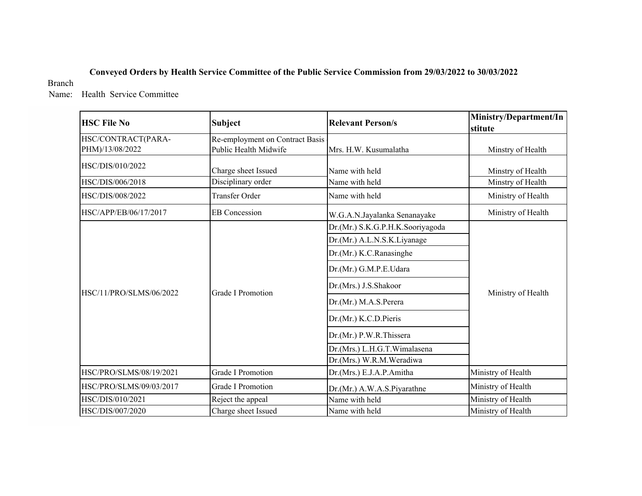## **Conveyed Orders by Health Service Committee of the Public Service Commission from 29/03/2022 to 30/03/2022**

### Branch

Name: Health Service Committee

| <b>HSC File No</b>                    | <b>Subject</b>                                           | <b>Relevant Person/s</b>         | Ministry/Department/In<br>stitute |
|---------------------------------------|----------------------------------------------------------|----------------------------------|-----------------------------------|
| HSC/CONTRACT(PARA-<br>PHM)/13/08/2022 | Re-employment on Contract Basis<br>Public Health Midwife | Mrs. H.W. Kusumalatha            | Minstry of Health                 |
| HSC/DIS/010/2022                      | Charge sheet Issued                                      | Name with held                   | Minstry of Health                 |
| HSC/DIS/006/2018                      | Disciplinary order                                       | Name with held                   | Minstry of Health                 |
| HSC/DIS/008/2022                      | <b>Transfer Order</b>                                    | Name with held                   | Ministry of Health                |
| HSC/APP/EB/06/17/2017                 | <b>EB</b> Concession                                     | W.G.A.N.Jayalanka Senanayake     | Ministry of Health                |
|                                       |                                                          | Dr.(Mr.) S.K.G.P.H.K.Sooriyagoda |                                   |
|                                       | Dr.(Mr.) A.L.N.S.K.Liyanage                              |                                  |                                   |
|                                       |                                                          | Dr.(Mr.) K.C.Ranasinghe          |                                   |
|                                       |                                                          | Dr.(Mr.) G.M.P.E.Udara           |                                   |
| HSC/11/PRO/SLMS/06/2022               | Grade I Promotion                                        | Dr.(Mrs.) J.S.Shakoor            | Ministry of Health                |
|                                       |                                                          | Dr.(Mr.) M.A.S.Perera            |                                   |
|                                       |                                                          | Dr.(Mr.) K.C.D.Pieris            |                                   |
|                                       |                                                          | Dr.(Mr.) P.W.R.Thissera          |                                   |
|                                       |                                                          | Dr.(Mrs.) L.H.G.T.Wimalasena     |                                   |
|                                       |                                                          | Dr.(Mrs.) W.R.M.Weradiwa         |                                   |
| HSC/PRO/SLMS/08/19/2021               | <b>Grade I Promotion</b>                                 | Dr.(Mrs.) E.J.A.P.Amitha         | Ministry of Health                |
| HSC/PRO/SLMS/09/03/2017               | <b>Grade I Promotion</b>                                 | Dr.(Mr.) A.W.A.S.Piyarathne      | Ministry of Health                |
| HSC/DIS/010/2021                      | Reject the appeal                                        | Name with held                   | Ministry of Health                |
| HSC/DIS/007/2020                      | Charge sheet Issued                                      | Name with held                   | Ministry of Health                |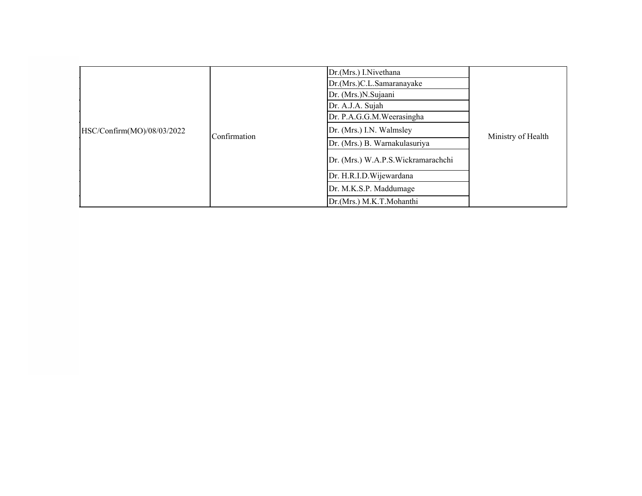| HSC/Confirm(MO)/08/03/2022 | Confirmation | Dr.(Mrs.) I.Nivethana<br>Dr.(Mrs.)C.L.Samaranayake<br>Dr. (Mrs.)N.Sujaani<br>Dr. A.J.A. Sujah<br>Dr. P.A.G.G.M. Weerasingha<br>Dr. (Mrs.) I.N. Walmsley<br>Dr. (Mrs.) B. Warnakulasuriya<br>Dr. (Mrs.) W.A.P.S. Wickramarachchi<br>Dr. H.R.I.D. Wijewardana<br>Dr. M.K.S.P. Maddumage | Ministry of Health |
|----------------------------|--------------|---------------------------------------------------------------------------------------------------------------------------------------------------------------------------------------------------------------------------------------------------------------------------------------|--------------------|
|                            |              |                                                                                                                                                                                                                                                                                       |                    |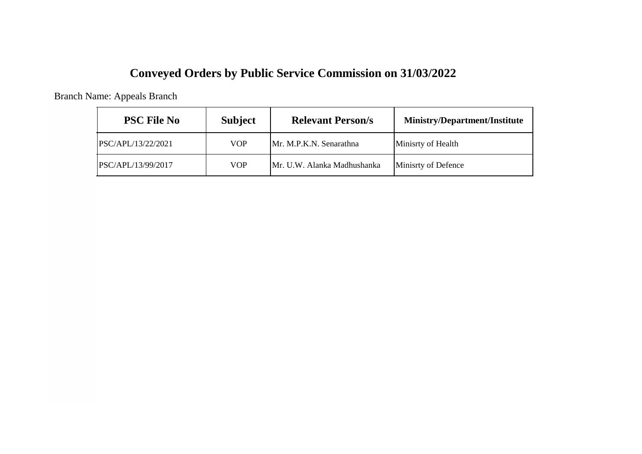# **Conveyed Orders by Public Service Commission on 31/03/2022**

Branch Name: Appeals Branch

| <b>PSC File No</b> | <b>Subject</b> | <b>Relevant Person/s</b>    | <b>Ministry/Department/Institute</b> |
|--------------------|----------------|-----------------------------|--------------------------------------|
| PSC/APL/13/22/2021 | <b>VOP</b>     | Mr. M.P.K.N. Senarathna     | Minisrty of Health                   |
| PSC/APL/13/99/2017 | <b>VOP</b>     | Mr. U.W. Alanka Madhushanka | Minisrty of Defence                  |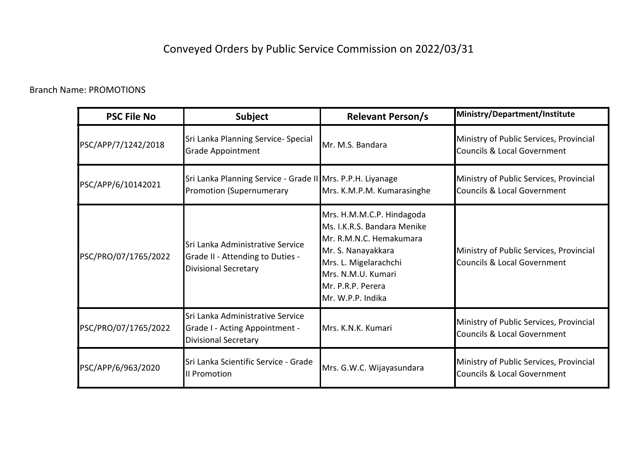# Conveyed Orders by Public Service Commission on 2022/03/31

## Branch Name: PROMOTIONS

| <b>PSC File No</b>   | <b>Subject</b>                                                                                      | <b>Relevant Person/s</b>                                                                                                                                                                           | Ministry/Department/Institute                                                     |
|----------------------|-----------------------------------------------------------------------------------------------------|----------------------------------------------------------------------------------------------------------------------------------------------------------------------------------------------------|-----------------------------------------------------------------------------------|
| PSC/APP/7/1242/2018  | Sri Lanka Planning Service- Special<br><b>Grade Appointment</b>                                     | Mr. M.S. Bandara                                                                                                                                                                                   | Ministry of Public Services, Provincial<br>Councils & Local Government            |
| PSC/APP/6/10142021   | Sri Lanka Planning Service - Grade II Mrs. P.P.H. Liyanage<br><b>Promotion (Supernumerary</b>       | Mrs. K.M.P.M. Kumarasinghe                                                                                                                                                                         | Ministry of Public Services, Provincial<br><b>Councils &amp; Local Government</b> |
| PSC/PRO/07/1765/2022 | Sri Lanka Administrative Service<br>Grade II - Attending to Duties -<br><b>Divisional Secretary</b> | Mrs. H.M.M.C.P. Hindagoda<br>Ms. I.K.R.S. Bandara Menike<br>Mr. R.M.N.C. Hemakumara<br>Mr. S. Nanayakkara<br>Mrs. L. Migelarachchi<br>Mrs. N.M.U. Kumari<br>Mr. P.R.P. Perera<br>Mr. W.P.P. Indika | Ministry of Public Services, Provincial<br><b>Councils &amp; Local Government</b> |
| PSC/PRO/07/1765/2022 | Sri Lanka Administrative Service<br>Grade I - Acting Appointment -<br><b>Divisional Secretary</b>   | Mrs. K.N.K. Kumari                                                                                                                                                                                 | Ministry of Public Services, Provincial<br>Councils & Local Government            |
| PSC/APP/6/963/2020   | Sri Lanka Scientific Service - Grade<br>II Promotion                                                | Mrs. G.W.C. Wijayasundara                                                                                                                                                                          | Ministry of Public Services, Provincial<br><b>Councils &amp; Local Government</b> |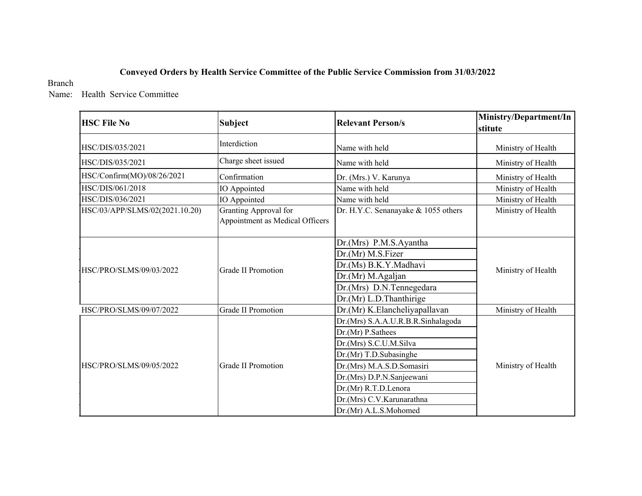### **Conveyed Orders by Health Service Committee of the Public Service Commission from 31/03/2022**

#### Branch

Name: Health Service Committee

| <b>HSC File No</b>             | <b>Subject</b>                                                  | <b>Relevant Person/s</b>                                                                                                                                                                                                                            | Ministry/Department/In<br>stitute |
|--------------------------------|-----------------------------------------------------------------|-----------------------------------------------------------------------------------------------------------------------------------------------------------------------------------------------------------------------------------------------------|-----------------------------------|
| HSC/DIS/035/2021               | Interdiction                                                    | Name with held                                                                                                                                                                                                                                      | Ministry of Health                |
| HSC/DIS/035/2021               | Charge sheet issued                                             | Name with held                                                                                                                                                                                                                                      | Ministry of Health                |
| HSC/Confirm(MO)/08/26/2021     | Confirmation                                                    | Dr. (Mrs.) V. Karunya                                                                                                                                                                                                                               | Ministry of Health                |
| HSC/DIS/061/2018               | IO Appointed                                                    | Name with held                                                                                                                                                                                                                                      | Ministry of Health                |
| HSC/DIS/036/2021               | IO Appointed                                                    | Name with held                                                                                                                                                                                                                                      | Ministry of Health                |
| HSC/03/APP/SLMS/02(2021.10.20) | <b>Granting Approval for</b><br>Appointment as Medical Officers | Dr. H.Y.C. Senanayake & 1055 others                                                                                                                                                                                                                 | Ministry of Health                |
| HSC/PRO/SLMS/09/03/2022        | <b>Grade II Promotion</b>                                       | Dr.(Mrs) P.M.S.Ayantha<br>Dr.(Mr) M.S.Fizer<br>Dr.(Ms) B.K.Y.Madhavi<br>Dr.(Mr) M.Agaljan<br>Dr.(Mrs) D.N.Tennegedara<br>Dr.(Mr) L.D.Thanthirige                                                                                                    | Ministry of Health                |
| HSC/PRO/SLMS/09/07/2022        | <b>Grade II Promotion</b>                                       | Dr.(Mr) K.Elancheliyapallavan                                                                                                                                                                                                                       | Ministry of Health                |
| HSC/PRO/SLMS/09/05/2022        | Grade II Promotion                                              | Dr.(Mrs) S.A.A.U.R.B.R.Sinhalagoda<br>Dr.(Mr) P.Sathees<br>Dr.(Mrs) S.C.U.M.Silva<br>Dr.(Mr) T.D.Subasinghe<br>Dr.(Mrs) M.A.S.D.Somasiri<br>Dr.(Mrs) D.P.N.Sanjeewani<br>Dr.(Mr) R.T.D.Lenora<br>Dr.(Mrs) C.V.Karunarathna<br>Dr.(Mr) A.L.S.Mohomed | Ministry of Health                |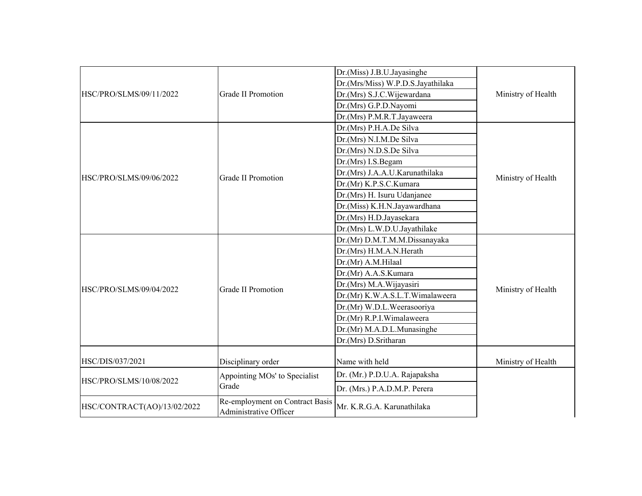|                             |                                                           | Dr.(Miss) J.B.U.Jayasinghe        |                    |
|-----------------------------|-----------------------------------------------------------|-----------------------------------|--------------------|
|                             |                                                           | Dr.(Mrs/Miss) W.P.D.S.Jayathilaka |                    |
| HSC/PRO/SLMS/09/11/2022     | <b>Grade II Promotion</b>                                 | Dr.(Mrs) S.J.C.Wijewardana        | Ministry of Health |
|                             |                                                           | Dr.(Mrs) G.P.D.Nayomi             |                    |
|                             |                                                           | Dr.(Mrs) P.M.R.T.Jayaweera        |                    |
|                             |                                                           | Dr.(Mrs) P.H.A.De Silva           |                    |
|                             |                                                           | Dr.(Mrs) N.I.M.De Silva           |                    |
|                             |                                                           | Dr.(Mrs) N.D.S.De Silva           |                    |
|                             |                                                           | Dr.(Mrs) I.S.Begam                |                    |
|                             | <b>Grade II Promotion</b>                                 | Dr.(Mrs) J.A.A.U.Karunathilaka    |                    |
| HSC/PRO/SLMS/09/06/2022     |                                                           | Dr.(Mr) K.P.S.C.Kumara            | Ministry of Health |
|                             |                                                           | Dr.(Mrs) H. Isuru Udanjanee       |                    |
|                             |                                                           | Dr.(Miss) K.H.N.Jayawardhana      |                    |
|                             |                                                           | Dr.(Mrs) H.D.Jayasekara           |                    |
|                             |                                                           | Dr.(Mrs) L.W.D.U.Jayathilake      |                    |
|                             |                                                           | Dr.(Mr) D.M.T.M.M.Dissanayaka     |                    |
|                             |                                                           | Dr.(Mrs) H.M.A.N.Herath           |                    |
|                             |                                                           | Dr.(Mr) A.M.Hilaal                |                    |
|                             |                                                           | Dr.(Mr) A.A.S.Kumara              |                    |
| HSC/PRO/SLMS/09/04/2022     | <b>Grade II Promotion</b>                                 | Dr.(Mrs) M.A.Wijayasiri           | Ministry of Health |
|                             |                                                           | Dr.(Mr) K.W.A.S.L.T.Wimalaweera   |                    |
|                             |                                                           | Dr.(Mr) W.D.L.Weerasooriya        |                    |
|                             |                                                           | Dr.(Mr) R.P.I.Wimalaweera         |                    |
|                             |                                                           | Dr.(Mr) M.A.D.L.Munasinghe        |                    |
|                             |                                                           | Dr.(Mrs) D.Sritharan              |                    |
|                             |                                                           |                                   |                    |
| HSC/DIS/037/2021            | Disciplinary order                                        | Name with held                    | Ministry of Health |
|                             | Appointing MOs' to Specialist                             | Dr. (Mr.) P.D.U.A. Rajapaksha     |                    |
| HSC/PRO/SLMS/10/08/2022     | Grade                                                     | Dr. (Mrs.) P.A.D.M.P. Perera      |                    |
| HSC/CONTRACT(AO)/13/02/2022 | Re-employment on Contract Basis<br>Administrative Officer | Mr. K.R.G.A. Karunathilaka        |                    |
|                             |                                                           |                                   |                    |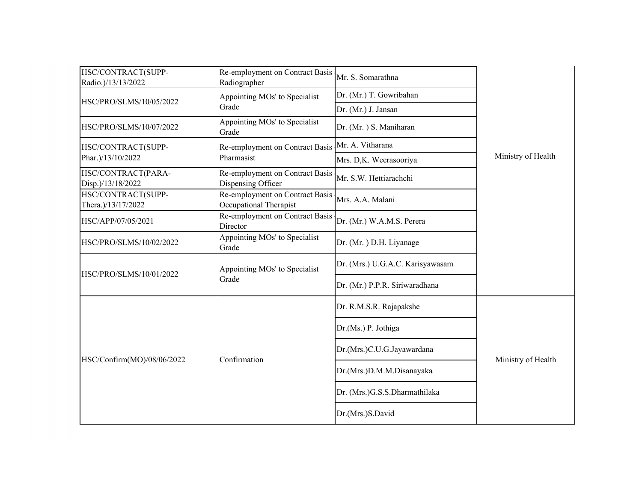| HSC/CONTRACT(SUPP-<br>Radio.)/13/13/2022 | Re-employment on Contract Basis<br>Radiographer           | Mr. S. Somarathna                |                    |
|------------------------------------------|-----------------------------------------------------------|----------------------------------|--------------------|
| HSC/PRO/SLMS/10/05/2022                  | Appointing MOs' to Specialist                             | Dr. (Mr.) T. Gowribahan          |                    |
|                                          | Grade                                                     | Dr. (Mr.) J. Jansan              |                    |
| HSC/PRO/SLMS/10/07/2022                  | Appointing MOs' to Specialist<br>Grade                    | Dr. (Mr.) S. Maniharan           |                    |
| HSC/CONTRACT(SUPP-                       | Re-employment on Contract Basis                           | Mr. A. Vitharana                 |                    |
| Phar.)/13/10/2022                        | Pharmasist                                                | Mrs. D,K. Weerasooriya           | Ministry of Health |
| HSC/CONTRACT(PARA-<br>Disp.)/13/18/2022  | Re-employment on Contract Basis<br>Dispensing Officer     | Mr. S.W. Hettiarachchi           |                    |
| HSC/CONTRACT(SUPP-<br>Thera.)/13/17/2022 | Re-employment on Contract Basis<br>Occupational Therapist | Mrs. A.A. Malani                 |                    |
| HSC/APP/07/05/2021                       | Re-employment on Contract Basis<br>Director               | Dr. (Mr.) W.A.M.S. Perera        |                    |
| HSC/PRO/SLMS/10/02/2022                  | Appointing MOs' to Specialist<br>Grade                    | Dr. (Mr.) D.H. Liyanage          |                    |
| HSC/PRO/SLMS/10/01/2022                  | Appointing MOs' to Specialist                             | Dr. (Mrs.) U.G.A.C. Karisyawasam |                    |
| Grade                                    | Dr. (Mr.) P.P.R. Siriwaradhana                            |                                  |                    |
|                                          |                                                           | Dr. R.M.S.R. Rajapakshe          |                    |
|                                          |                                                           | Dr.(Ms.) P. Jothiga              |                    |
| HSC/Confirm(MO)/08/06/2022               | Confirmation                                              | Dr.(Mrs.)C.U.G.Jayawardana       | Ministry of Health |
|                                          |                                                           | Dr.(Mrs.)D.M.M.Disanayaka        |                    |
|                                          |                                                           | Dr. (Mrs.)G.S.S.Dharmathilaka    |                    |
|                                          |                                                           | Dr.(Mrs.)S.David                 |                    |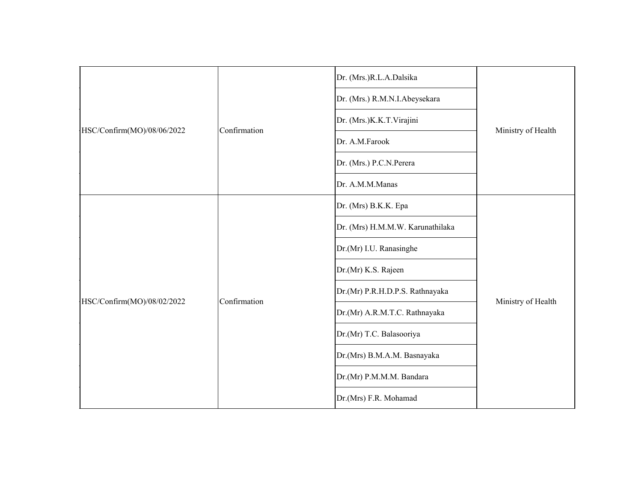|                            |              | Dr. (Mrs.)R.L.A.Dalsika                                                       |  |
|----------------------------|--------------|-------------------------------------------------------------------------------|--|
|                            |              | Dr. (Mrs.) R.M.N.I.Abeysekara                                                 |  |
|                            | Confirmation | Dr. (Mrs.)K.K.T.Virajini                                                      |  |
| HSC/Confirm(MO)/08/06/2022 |              | Ministry of Health<br>Dr. A.M.Farook<br>Dr. (Mrs.) P.C.N. Perera              |  |
|                            |              |                                                                               |  |
|                            |              | Dr. A.M.M.Manas                                                               |  |
|                            |              | Dr. (Mrs) B.K.K. Epa                                                          |  |
|                            |              | Dr. (Mrs) H.M.M.W. Karunathilaka                                              |  |
| HSC/Confirm(MO)/08/02/2022 |              | Dr.(Mr) I.U. Ranasinghe                                                       |  |
|                            |              | Dr.(Mr) K.S. Rajeen                                                           |  |
|                            | Confirmation | Dr.(Mr) P.R.H.D.P.S. Rathnayaka                                               |  |
|                            |              | Dr.(Mr) A.R.M.T.C. Rathnayaka                                                 |  |
|                            |              | Dr.(Mr) T.C. Balasooriya                                                      |  |
|                            |              | Ministry of Health<br>Dr.(Mrs) B.M.A.M. Basnayaka<br>Dr.(Mr) P.M.M.M. Bandara |  |
|                            |              |                                                                               |  |
|                            |              | Dr.(Mrs) F.R. Mohamad                                                         |  |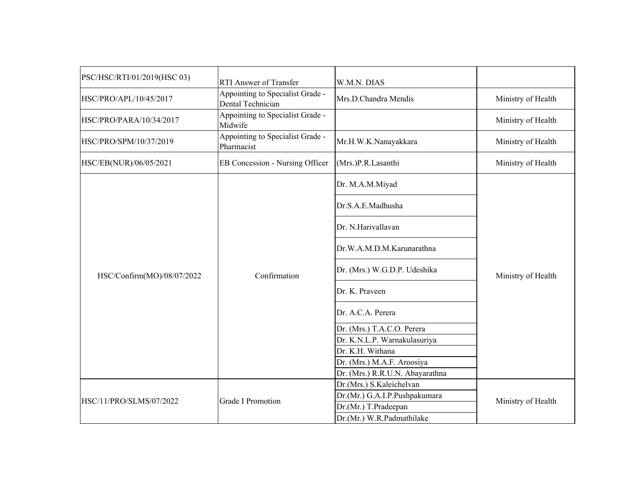| PSC/HSC/RTI/01/2019(HSC 03) | RTI Answer of Transfer                                | W.M.N. DIAS                     |                    |
|-----------------------------|-------------------------------------------------------|---------------------------------|--------------------|
| HSC/PRO/APL/10/45/2017      | Appointing to Specialist Grade -<br>Dental Technician | Mrs.D.Chandra Mendis            | Ministry of Health |
| HSC/PRO/PARA/10/34/2017     | Appointing to Specialist Grade -<br>Midwife           |                                 | Ministry of Health |
| HSC/PRO/SPM/10/37/2019      | Appointing to Specialist Grade -<br>Pharmacist        | Mr.H.W.K.Nanayakkara            | Ministry of Health |
| HSC/EB(NUR)/06/05/2021      | EB Concession - Nursing Officer                       | (Mrs.)P.R.Lasanthi              | Ministry of Health |
|                             |                                                       | Dr. M.A.M.Miyad                 |                    |
|                             |                                                       | Dr.S.A.E.Madhusha               |                    |
|                             |                                                       | Dr. N.Harivallavan              |                    |
|                             |                                                       | Dr.W.A.M.D.M.Karunarathna       |                    |
| HSC/Confirm(MO)/08/07/2022  | Confirmation                                          | Dr. (Mrs.) W.G.D.P. Udeshika    | Ministry of Health |
|                             |                                                       | Dr. K. Praveen                  |                    |
|                             |                                                       | Dr. A.C.A. Perera               |                    |
|                             |                                                       | Dr. (Mrs.) T.A.C.O. Perera      |                    |
|                             |                                                       | Dr. K.N.L.P. Warnakulasuriya    |                    |
|                             |                                                       | Dr. K.H. Withana                |                    |
|                             |                                                       | Dr. (Mrs.) M.A.F. Aroosiya      |                    |
|                             |                                                       | Dr. (Mrs.) R.R.U.N. Abayarathna |                    |
|                             |                                                       | Dr.(Mrs.) S.Kaleichelvan        |                    |
| HSC/11/PRO/SLMS/07/2022     | <b>Grade I Promotion</b>                              | Dr.(Mr.) G.A.I.P.Pushpakumara   | Ministry of Health |
|                             |                                                       | Dr.(Mr.) T.Pradeepan            |                    |
|                             |                                                       | Dr.(Mr.) W.R.Padmathilake       |                    |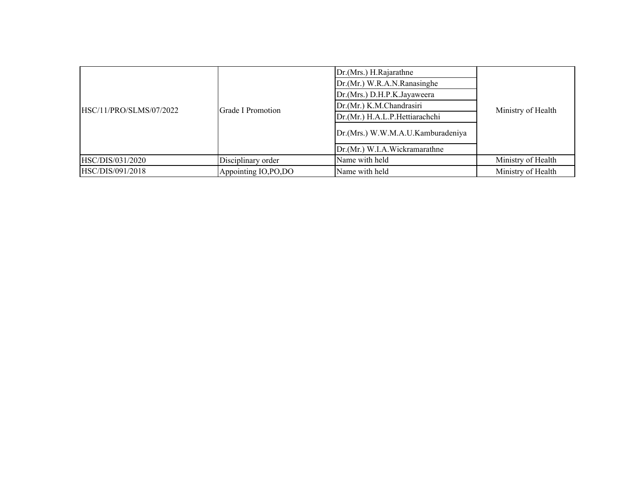|                         |                       | Dr.(Mrs.) H.Rajarathne            |                    |  |
|-------------------------|-----------------------|-----------------------------------|--------------------|--|
|                         |                       | Dr.(Mr.) W.R.A.N.Ranasinghe       |                    |  |
|                         |                       | Dr.(Mrs.) D.H.P.K.Jayaweera       |                    |  |
| HSC/11/PRO/SLMS/07/2022 | Grade I Promotion     | Dr.(Mr.) K.M.Chandrasiri          | Ministry of Health |  |
|                         |                       | Dr.(Mr.) H.A.L.P.Hettiarachchi    |                    |  |
|                         |                       | Dr.(Mrs.) W.W.M.A.U.Kamburadeniya |                    |  |
|                         |                       | Dr.(Mr.) W.I.A.Wickramarathne     |                    |  |
| HSC/DIS/031/2020        | Disciplinary order    | Name with held                    | Ministry of Health |  |
| HSC/DIS/091/2018        | Appointing IO, PO, DO | Name with held                    | Ministry of Health |  |